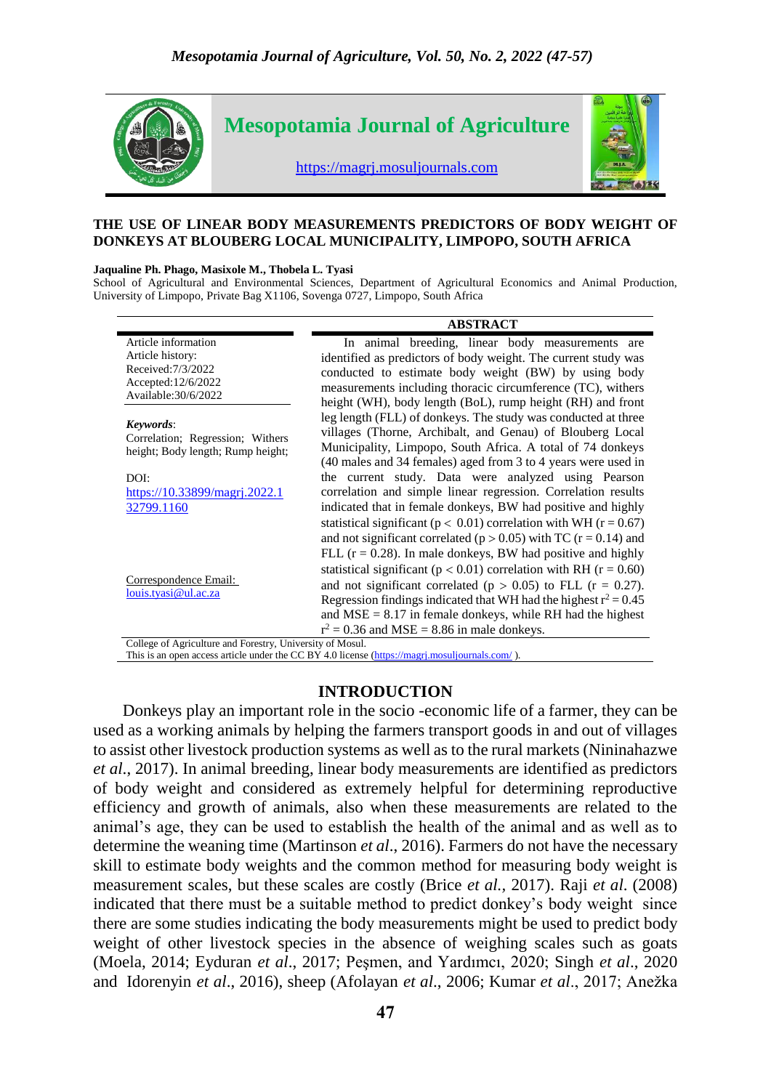

#### **THE USE OF LINEAR BODY MEASUREMENTS PREDICTORS OF BODY WEIGHT OF DONKEYS AT BLOUBERG LOCAL MUNICIPALITY, LIMPOPO, SOUTH AFRICA**

#### **Jaqualine Ph. Phago, Masixole M., Thobela L. Tyasi**

School of Agricultural and Environmental Sciences, Department of Agricultural Economics and Animal Production, University of Limpopo, Private Bag X1106, Sovenga 0727, Limpopo, South Africa

|                                                                                                             | <b>ABSTRACT</b>                                                                                                                                                                                                                                                                                                                                                                                                                                                                                                                                                    |
|-------------------------------------------------------------------------------------------------------------|--------------------------------------------------------------------------------------------------------------------------------------------------------------------------------------------------------------------------------------------------------------------------------------------------------------------------------------------------------------------------------------------------------------------------------------------------------------------------------------------------------------------------------------------------------------------|
| Article information<br>Article history:<br>Received: 7/3/2022<br>Accepted:12/6/2022<br>Available: 30/6/2022 | In animal breeding, linear body measurements are<br>identified as predictors of body weight. The current study was<br>conducted to estimate body weight (BW) by using body<br>measurements including thoracic circumference (TC), withers<br>height (WH), body length (BoL), rump height (RH) and front                                                                                                                                                                                                                                                            |
| Keywords:<br>Correlation; Regression; Withers<br>height; Body length; Rump height;<br>DOI:                  | leg length (FLL) of donkeys. The study was conducted at three<br>villages (Thorne, Archibalt, and Genau) of Blouberg Local<br>Municipality, Limpopo, South Africa. A total of 74 donkeys<br>(40 males and 34 females) aged from 3 to 4 years were used in<br>the current study. Data were analyzed using Pearson                                                                                                                                                                                                                                                   |
| https://10.33899/magrj.2022.1<br>32799.1160                                                                 | correlation and simple linear regression. Correlation results<br>indicated that in female donkeys, BW had positive and highly                                                                                                                                                                                                                                                                                                                                                                                                                                      |
| Correspondence Email:<br>louis.tyasi@ul.ac.za<br>$C_A$ $A$<br>1.17<br>$T$ $T$ $T$<br>$\sim$ 11              | statistical significant ( $p < 0.01$ ) correlation with WH ( $r = 0.67$ )<br>and not significant correlated ( $p > 0.05$ ) with TC ( $r = 0.14$ ) and<br>FLL $(r = 0.28)$ . In male donkeys, BW had positive and highly<br>statistical significant ( $p < 0.01$ ) correlation with RH ( $r = 0.60$ )<br>and not significant correlated ( $p > 0.05$ ) to FLL ( $r = 0.27$ ).<br>Regression findings indicated that WH had the highest $r^2 = 0.45$<br>and $MSE = 8.17$ in female donkeys, while RH had the highest<br>$r^2$ = 0.36 and MSE = 8.86 in male donkeys. |

College of Agriculture and Forestry, University of Mosul.

This is an open access article under the CC BY 4.0 license (https://magri.mosuljournals.com/).

#### **INTRODUCTION**

 Donkeys play an important role in the socio -economic life of a farmer, they can be used as a working animals by helping the farmers transport goods in and out of villages to assist other livestock production systems as well as to the rural markets (Nininahazwe *et al*., 2017). In animal breeding, linear body measurements are identified as predictors of body weight and considered as extremely helpful for determining reproductive efficiency and growth of animals, also when these measurements are related to the animal's age, they can be used to establish the health of the animal and as well as to determine the weaning time (Martinson *et al*., 2016). Farmers do not have the necessary skill to estimate body weights and the common method for measuring body weight is measurement scales, but these scales are costly (Brice *et al.,* 2017). Raji *et al*. (2008) indicated that there must be a suitable method to predict donkey's body weight since there are some studies indicating the body measurements might be used to predict body weight of other livestock species in the absence of weighing scales such as goats (Moela, 2014; Eyduran *et al*., 2017; Peşmen, and Yardımcı, 2020; Singh *et al*., 2020 and Idorenyin *et al*., 2016), sheep (Afolayan *et al*., 2006; Kumar *et al*., 2017; Anežka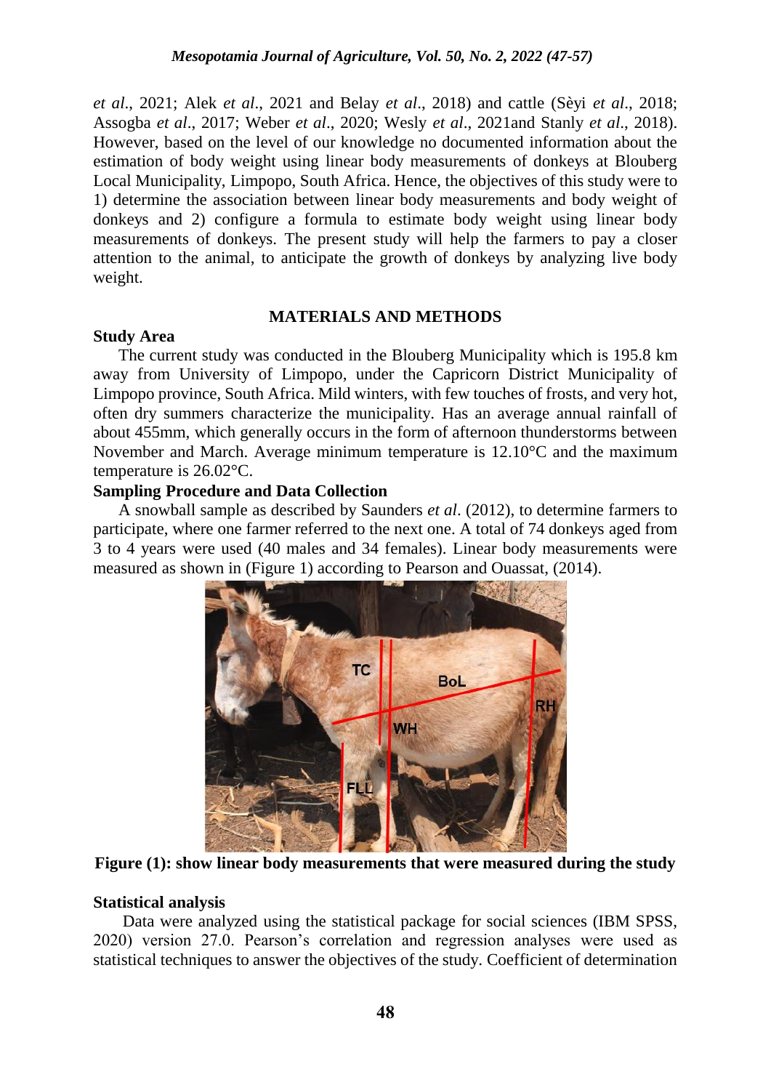*et al*., 2021; Alek *et al*., 2021 and Belay *et al*., 2018) and cattle (Sèyi *et al*., 2018; Assogba *et al*., 2017; Weber *et al*., 2020; Wesly *et al*., 2021and Stanly *et al*., 2018). However, based on the level of our knowledge no documented information about the estimation of body weight using linear body measurements of donkeys at Blouberg Local Municipality, Limpopo, South Africa. Hence, the objectives of this study were to 1) determine the association between linear body measurements and body weight of donkeys and 2) configure a formula to estimate body weight using linear body measurements of donkeys. The present study will help the farmers to pay a closer attention to the animal, to anticipate the growth of donkeys by analyzing live body weight.

### **MATERIALS AND METHODS**

### **Study Area**

 The current study was conducted in the Blouberg Municipality which is 195.8 km away from University of Limpopo, under the Capricorn District Municipality of Limpopo province, South Africa. Mild winters, with few touches of frosts, and very hot, often dry summers characterize the municipality. Has an average annual rainfall of about 455mm, which generally occurs in the form of afternoon thunderstorms between November and March. Average minimum temperature is 12.10°C and the maximum temperature is 26.02°C.

# **Sampling Procedure and Data Collection**

 A snowball sample as described by Saunders *et al*. (2012), to determine farmers to participate, where one farmer referred to the next one. A total of 74 donkeys aged from 3 to 4 years were used (40 males and 34 females). Linear body measurements were measured as shown in (Figure 1) according to Pearson and Ouassat, (2014).



**Figure (1): show linear body measurements that were measured during the study**

# **Statistical analysis**

 Data were analyzed using the statistical package for social sciences (IBM SPSS, 2020) version 27.0. Pearson's correlation and regression analyses were used as statistical techniques to answer the objectives of the study. Coefficient of determination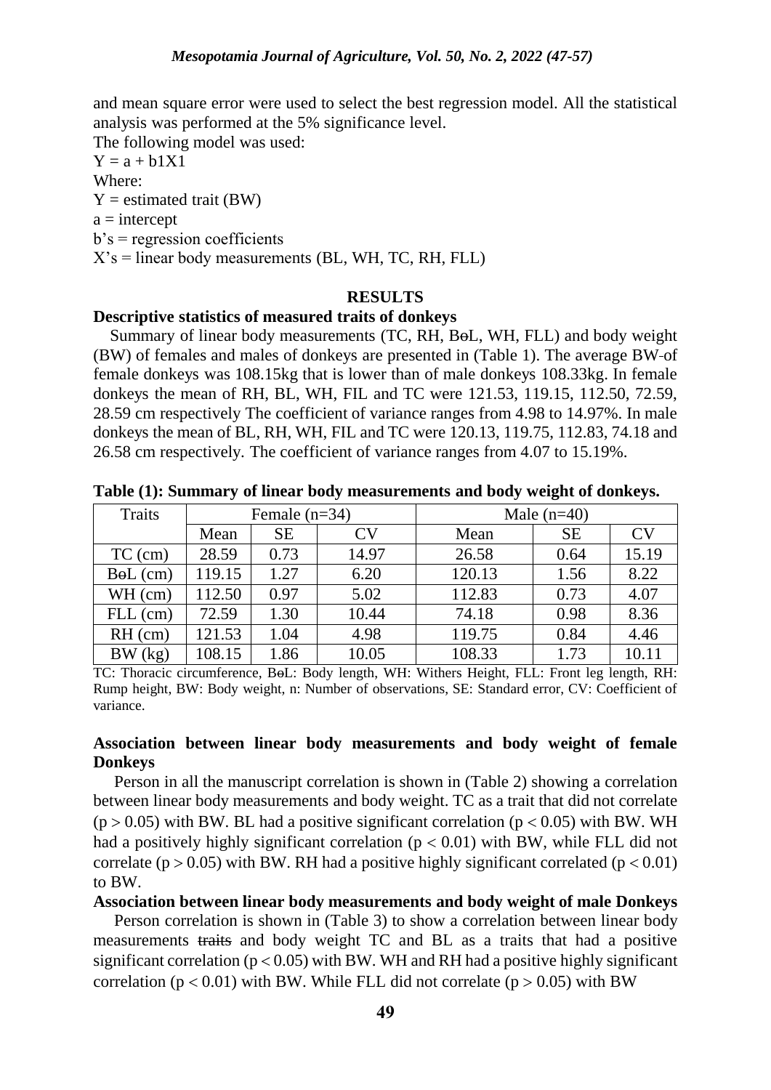and mean square error were used to select the best regression model. All the statistical analysis was performed at the 5% significance level.

The following model was used:

 $Y = a + b1X1$ Where:  $Y =$  estimated trait (BW)  $a =$ intercept  $b's = regression coefficients$  $X$ 's = linear body measurements (BL, WH, TC, RH, FLL)

### **RESULTS**

#### **Descriptive statistics of measured traits of donkeys**

Summary of linear body measurements (TC, RH, BoL, WH, FLL) and body weight (BW) of females and males of donkeys are presented in (Table 1). The average BW of female donkeys was 108.15kg that is lower than of male donkeys 108.33kg. In female donkeys the mean of RH, BL, WH, FIL and TC were 121.53, 119.15, 112.50, 72.59, 28.59 cm respectively The coefficient of variance ranges from 4.98 to 14.97%. In male donkeys the mean of BL, RH, WH, FIL and TC were 120.13, 119.75, 112.83, 74.18 and 26.58 cm respectively. The coefficient of variance ranges from 4.07 to 15.19%.

| <b>Traits</b> | Female $(n=34)$ |      |           | Male $(n=40)$ |           |       |  |
|---------------|-----------------|------|-----------|---------------|-----------|-------|--|
|               | Mean            | SЕ   | $\rm{CV}$ | Mean          | <b>SE</b> | CV    |  |
| $TC$ (cm)     | 28.59           | 0.73 | 14.97     | 26.58         | 0.64      | 15.19 |  |
| $B0L$ (cm)    | 119.15          | 1.27 | 6.20      | 120.13        | 1.56      | 8.22  |  |
| WH (cm)       | 112.50          | 0.97 | 5.02      | 112.83        | 0.73      | 4.07  |  |
| $FLL$ (cm)    | 72.59           | 1.30 | 10.44     | 74.18         | 0.98      | 8.36  |  |
| $RH$ (cm)     | 121.53          | 1.04 | 4.98      | 119.75        | 0.84      | 4.46  |  |
| BW (kg)       | 108.15          | 1.86 | 10.05     | 108.33        | 1.73      | 10.11 |  |

**Table (1): Summary of linear body measurements and body weight of donkeys.**

TC: Thoracic circumference, BoL: Body length, WH: Withers Height, FLL: Front leg length, RH: Rump height, BW: Body weight, n: Number of observations, SE: Standard error, CV: Coefficient of variance.

### **Association between linear body measurements and body weight of female Donkeys**

 Person in all the manuscript correlation is shown in (Table 2) showing a correlation between linear body measurements and body weight. TC as a trait that did not correlate  $(p > 0.05)$  with BW. BL had a positive significant correlation ( $p < 0.05$ ) with BW. WH had a positively highly significant correlation ( $p < 0.01$ ) with BW, while FLL did not correlate ( $p > 0.05$ ) with BW. RH had a positive highly significant correlated ( $p < 0.01$ ) to BW.

**Association between linear body measurements and body weight of male Donkeys**

 Person correlation is shown in (Table 3) to show a correlation between linear body measurements traits and body weight TC and BL as a traits that had a positive significant correlation ( $p < 0.05$ ) with BW. WH and RH had a positive highly significant correlation ( $p < 0.01$ ) with BW. While FLL did not correlate ( $p > 0.05$ ) with BW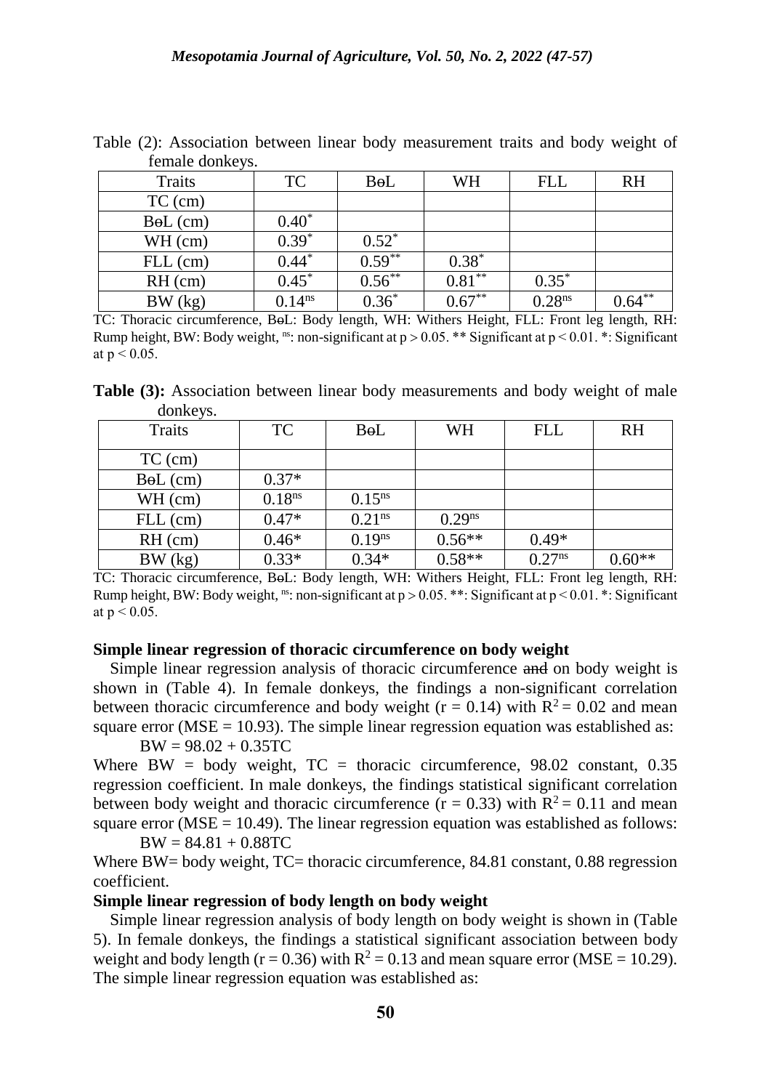| Temale donkeys. |             |           |           |                    |           |
|-----------------|-------------|-----------|-----------|--------------------|-----------|
| Traits          | TC          | BoL       | WH        | <b>FLL</b>         | <b>RH</b> |
| $TC$ (cm)       |             |           |           |                    |           |
| $B0L$ (cm)      | $0.40*$     |           |           |                    |           |
| WH (cm)         | $0.39*$     | $0.52^*$  |           |                    |           |
| $FLL$ (cm)      | $0.44*$     | $0.59***$ | $0.38*$   |                    |           |
| $RH$ (cm)       | $0.45*$     | $0.56***$ | $0.81***$ | $0.35*$            |           |
| BW (kg)         | $0.14^{ns}$ | $0.36*$   | $0.67**$  | 0.28 <sup>ns</sup> | $0.64***$ |

Table (2): Association between linear body measurement traits and body weight of female donkeys.

TC: Thoracic circumference, BoL: Body length, WH: Withers Height, FLL: Front leg length, RH: Rump height, BW: Body weight, <sup>ns</sup>: non-significant at  $p > 0.05$ . \*\* Significant at  $p < 0.01$ . \*: Significant at  $p < 0.05$ .

**Table (3):** Association between linear body measurements and body weight of male donkeys.

| Traits     | TC                 | BoL                | WH          | <b>FLL</b>  | <b>RH</b> |
|------------|--------------------|--------------------|-------------|-------------|-----------|
| $TC$ (cm)  |                    |                    |             |             |           |
| $B0L$ (cm) | $0.37*$            |                    |             |             |           |
| $WH$ (cm)  | 0.18 <sup>ns</sup> | $0.15^{ns}$        |             |             |           |
| $FLL$ (cm) | $0.47*$            | 0.21 <sup>ns</sup> | $0.29^{ns}$ |             |           |
| $RH$ (cm)  | $0.46*$            | 0.19 <sup>ns</sup> | $0.56**$    | $0.49*$     |           |
| BW (kg)    | $0.33*$            | $0.34*$            | $0.58**$    | $0.27^{ns}$ | $0.60**$  |

TC: Thoracic circumference, BoL: Body length, WH: Withers Height, FLL: Front leg length, RH: Rump height, BW: Body weight, ns: non-significant at  $p > 0.05$ . \*\*: Significant at  $p < 0.01$ . \*: Significant at  $p < 0.05$ .

### **Simple linear regression of thoracic circumference on body weight**

Simple linear regression analysis of thoracic circumference and on body weight is shown in (Table 4). In female donkeys, the findings a non-significant correlation between thoracic circumference and body weight ( $r = 0.14$ ) with  $R^2 = 0.02$  and mean square error ( $MSE = 10.93$ ). The simple linear regression equation was established as:

 $BW = 98.02 + 0.35TC$ 

Where BW = body weight,  $TC =$  thoracic circumference, 98.02 constant, 0.35 regression coefficient. In male donkeys, the findings statistical significant correlation between body weight and thoracic circumference  $(r = 0.33)$  with  $R^2 = 0.11$  and mean square error ( $MSE = 10.49$ ). The linear regression equation was established as follows:

 $BW = 84.81 + 0.88TC$ 

Where BW= body weight, TC= thoracic circumference, 84.81 constant, 0.88 regression coefficient.

### **Simple linear regression of body length on body weight**

 Simple linear regression analysis of body length on body weight is shown in (Table 5). In female donkeys, the findings a statistical significant association between body weight and body length ( $r = 0.36$ ) with  $R^2 = 0.13$  and mean square error (MSE = 10.29). The simple linear regression equation was established as: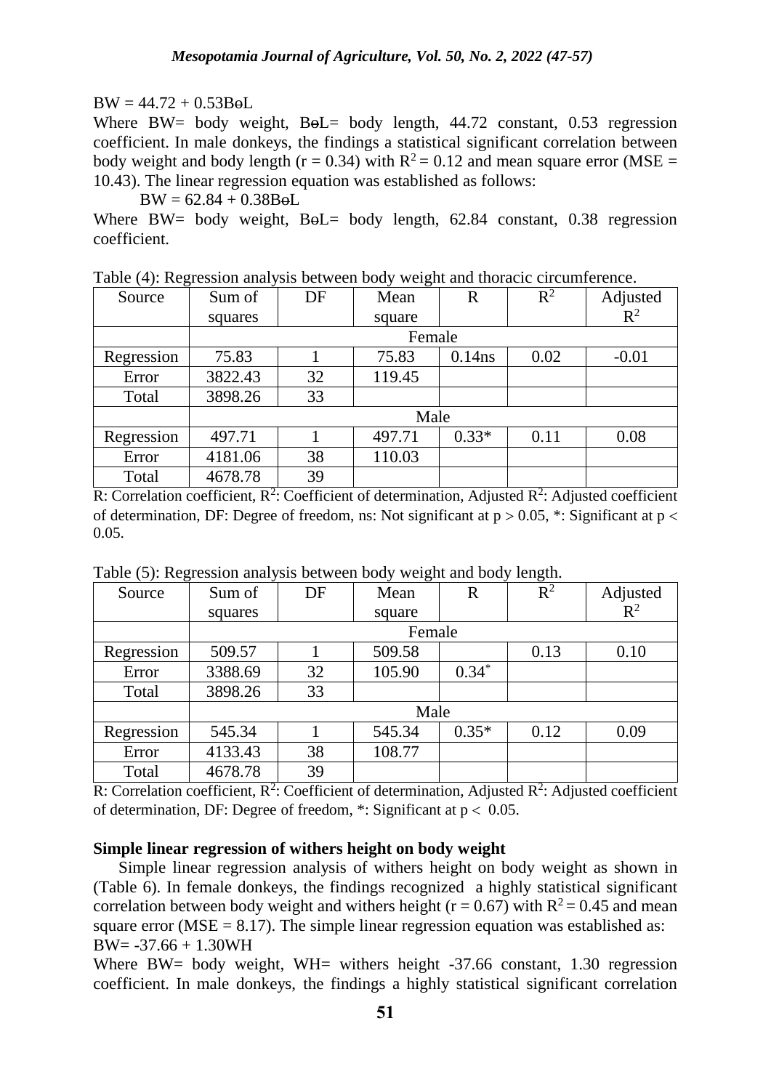# $BW = 44.72 + 0.53B<sub>0</sub>L$

Where BW= body weight, BoL= body length, 44.72 constant, 0.53 regression coefficient. In male donkeys, the findings a statistical significant correlation between body weight and body length ( $r = 0.34$ ) with  $R^2 = 0.12$  and mean square error (MSE = 10.43). The linear regression equation was established as follows:

 $BW = 62.84 + 0.38B<sub>0</sub>L$ 

Where BW= body weight,  $B_0L=$  body length, 62.84 constant, 0.38 regression coefficient.

| Source     | Sum of  | DF | Mean   | $\overline{\mathrm{R}}$ | $R^2$ | Adjusted |
|------------|---------|----|--------|-------------------------|-------|----------|
|            | squares |    | square |                         |       | $R^2$    |
|            |         |    | Female |                         |       |          |
| Regression | 75.83   |    | 75.83  | $0.14$ ns               | 0.02  | $-0.01$  |
| Error      | 3822.43 | 32 | 119.45 |                         |       |          |
| Total      | 3898.26 | 33 |        |                         |       |          |
|            | Male    |    |        |                         |       |          |
| Regression | 497.71  |    | 497.71 | $0.33*$                 | 0.11  | 0.08     |
| Error      | 4181.06 | 38 | 110.03 |                         |       |          |
| Total      | 4678.78 | 39 |        |                         |       |          |

Table (4): Regression analysis between body weight and thoracic circumference.

R: Correlation coefficient,  $R^2$ : Coefficient of determination, Adjusted  $R^2$ : Adjusted coefficient of determination, DF: Degree of freedom, ns: Not significant at  $p > 0.05$ , \*: Significant at  $p <$ 0.05.

| Table (5): Regression analysis between body weight and body length. |        |      |  |  |
|---------------------------------------------------------------------|--------|------|--|--|
| Source                                                              | Sum of | Mean |  |  |

| Source     | Sum of  | DF | Mean   | $\overline{\mathrm{R}}$ | $R^2$ | Adjusted |  |
|------------|---------|----|--------|-------------------------|-------|----------|--|
|            | squares |    | square |                         |       | $R^2$    |  |
|            |         |    | Female |                         |       |          |  |
| Regression | 509.57  |    | 509.58 |                         | 0.13  | 0.10     |  |
| Error      | 3388.69 | 32 | 105.90 | $0.34*$                 |       |          |  |
| Total      | 3898.26 | 33 |        |                         |       |          |  |
|            | Male    |    |        |                         |       |          |  |
| Regression | 545.34  |    | 545.34 | $0.35*$                 | 0.12  | 0.09     |  |
| Error      | 4133.43 | 38 | 108.77 |                         |       |          |  |
| Total      | 4678.78 | 39 |        |                         |       |          |  |

R: Correlation coefficient,  $R^2$ : Coefficient of determination, Adjusted  $R^2$ : Adjusted coefficient of determination, DF: Degree of freedom,  $*$ : Significant at  $p < 0.05$ .

# **Simple linear regression of withers height on body weight**

 Simple linear regression analysis of withers height on body weight as shown in (Table 6). In female donkeys, the findings recognized a highly statistical significant correlation between body weight and withers height ( $r = 0.67$ ) with  $R^2 = 0.45$  and mean square error ( $MSE = 8.17$ ). The simple linear regression equation was established as:  $BW = -37.66 + 1.30WH$ 

Where BW= body weight, WH= withers height -37.66 constant, 1.30 regression coefficient. In male donkeys, the findings a highly statistical significant correlation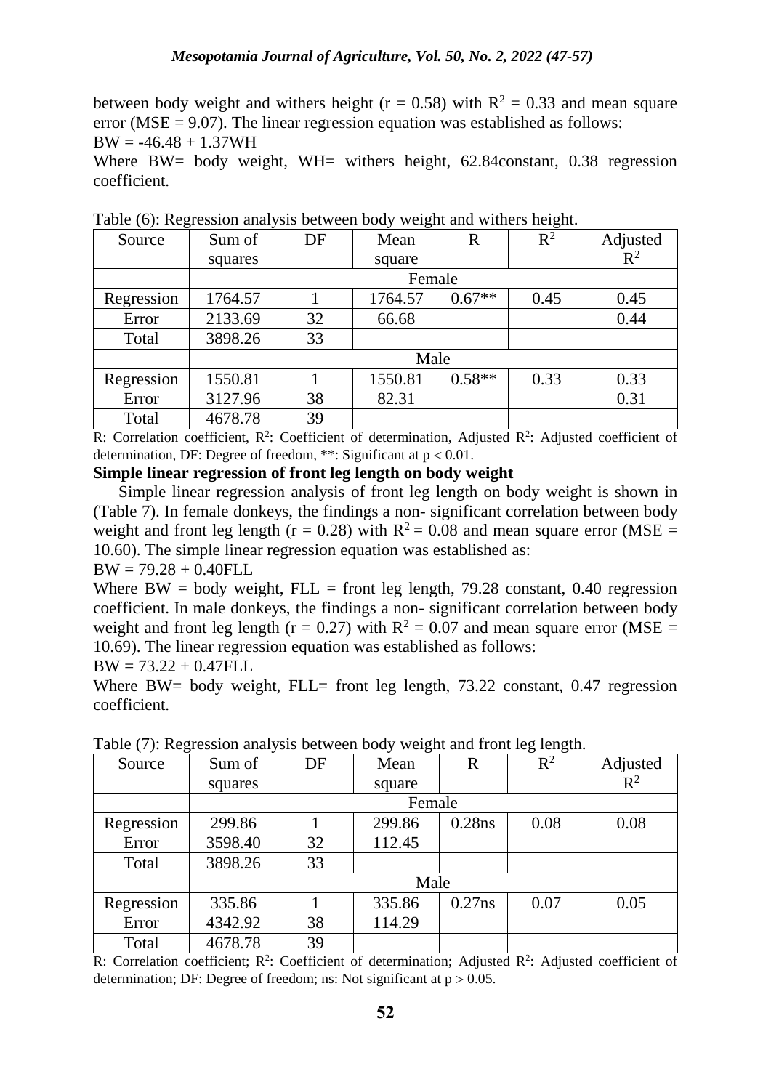between body weight and withers height ( $r = 0.58$ ) with  $R^2 = 0.33$  and mean square error ( $MSE = 9.07$ ). The linear regression equation was established as follows:

 $BW = -46.48 + 1.37WH$ 

Where BW= body weight, WH= withers height, 62.84 constant, 0.38 regression coefficient.

| $\sim$ $\sim$ |         |    |         |             |       |          |
|---------------|---------|----|---------|-------------|-------|----------|
| Source        | Sum of  | DF | Mean    | $\mathbf R$ | $R^2$ | Adjusted |
|               | squares |    | square  |             |       | $R^2$    |
|               |         |    | Female  |             |       |          |
| Regression    | 1764.57 |    | 1764.57 | $0.67**$    | 0.45  | 0.45     |
| Error         | 2133.69 | 32 | 66.68   |             |       | 0.44     |
| Total         | 3898.26 | 33 |         |             |       |          |
|               | Male    |    |         |             |       |          |
| Regression    | 1550.81 |    | 1550.81 | $0.58**$    | 0.33  | 0.33     |
| Error         | 3127.96 | 38 | 82.31   |             |       | 0.31     |
| Total         | 4678.78 | 39 |         |             |       |          |

Table (6): Regression analysis between body weight and withers height.

R: Correlation coefficient,  $R^2$ : Coefficient of determination, Adjusted  $R^2$ : Adjusted coefficient of determination, DF: Degree of freedom, \*\*: Significant at  $p < 0.01$ .

#### **Simple linear regression of front leg length on body weight**

 Simple linear regression analysis of front leg length on body weight is shown in (Table 7). In female donkeys, the findings a non- significant correlation between body weight and front leg length ( $r = 0.28$ ) with  $R^2 = 0.08$  and mean square error (MSE = 10.60). The simple linear regression equation was established as:

 $BW = 79.28 + 0.40 FLL$ 

Where BW = body weight, FLL = front leg length,  $79.28$  constant, 0.40 regression coefficient. In male donkeys, the findings a non- significant correlation between body weight and front leg length ( $r = 0.27$ ) with  $R^2 = 0.07$  and mean square error (MSE = 10.69). The linear regression equation was established as follows:

 $BW = 73.22 + 0.47 FLL$ 

Where BW= body weight, FLL= front leg length, 73.22 constant, 0.47 regression coefficient.

| $\sim$ $\sim$ |         |    | ັ      |           | ັ     |          |
|---------------|---------|----|--------|-----------|-------|----------|
| Source        | Sum of  | DF | Mean   | R         | $R^2$ | Adjusted |
|               | squares |    | square |           |       | $R^2$    |
|               |         |    | Female |           |       |          |
| Regression    | 299.86  |    | 299.86 | $0.28$ ns | 0.08  | 0.08     |
| Error         | 3598.40 | 32 | 112.45 |           |       |          |
| Total         | 3898.26 | 33 |        |           |       |          |
|               | Male    |    |        |           |       |          |
| Regression    | 335.86  |    | 335.86 | $0.27$ ns | 0.07  | 0.05     |
| Error         | 4342.92 | 38 | 114.29 |           |       |          |
| Total         | 4678.78 | 39 |        |           |       |          |

Table (7): Regression analysis between body weight and front leg length.

R: Correlation coefficient;  $R^2$ : Coefficient of determination; Adjusted  $R^2$ : Adjusted coefficient of determination; DF: Degree of freedom; ns: Not significant at  $p > 0.05$ .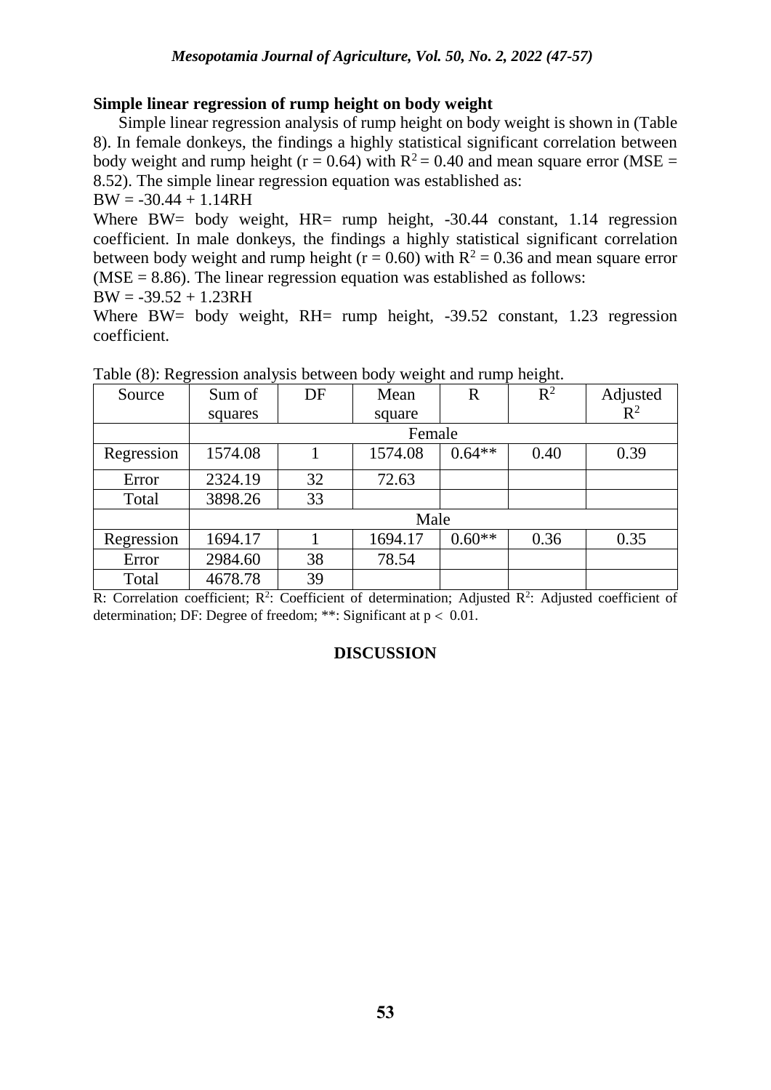### **Simple linear regression of rump height on body weight**

 Simple linear regression analysis of rump height on body weight is shown in (Table 8). In female donkeys, the findings a highly statistical significant correlation between body weight and rump height ( $r = 0.64$ ) with  $R^2 = 0.40$  and mean square error (MSE = 8.52). The simple linear regression equation was established as:

 $BW = -30.44 + 1.14RH$ 

Where BW= body weight, HR= rump height, -30.44 constant, 1.14 regression coefficient. In male donkeys, the findings a highly statistical significant correlation between body weight and rump height ( $r = 0.60$ ) with  $R^2 = 0.36$  and mean square error  $(MSE = 8.86)$ . The linear regression equation was established as follows:

 $BW = -39.52 + 1.23RH$ 

Where BW= body weight, RH= rump height, -39.52 constant, 1.23 regression coefficient.

|            |         |    |         |          | ⋍     |          |
|------------|---------|----|---------|----------|-------|----------|
| Source     | Sum of  | DF | Mean    | R        | $R^2$ | Adjusted |
|            | squares |    | square  |          |       | $R^2$    |
|            |         |    | Female  |          |       |          |
| Regression | 1574.08 |    | 1574.08 | $0.64**$ | 0.40  | 0.39     |
| Error      | 2324.19 | 32 | 72.63   |          |       |          |
| Total      | 3898.26 | 33 |         |          |       |          |
|            | Male    |    |         |          |       |          |
| Regression | 1694.17 |    | 1694.17 | $0.60**$ | 0.36  | 0.35     |
| Error      | 2984.60 | 38 | 78.54   |          |       |          |
| Total      | 4678.78 | 39 |         |          |       |          |

Table (8): Regression analysis between body weight and rump height.

R: Correlation coefficient;  $R^2$ : Coefficient of determination; Adjusted  $R^2$ : Adjusted coefficient of determination; DF: Degree of freedom; \*\*: Significant at  $p < 0.01$ .

# **DISCUSSION**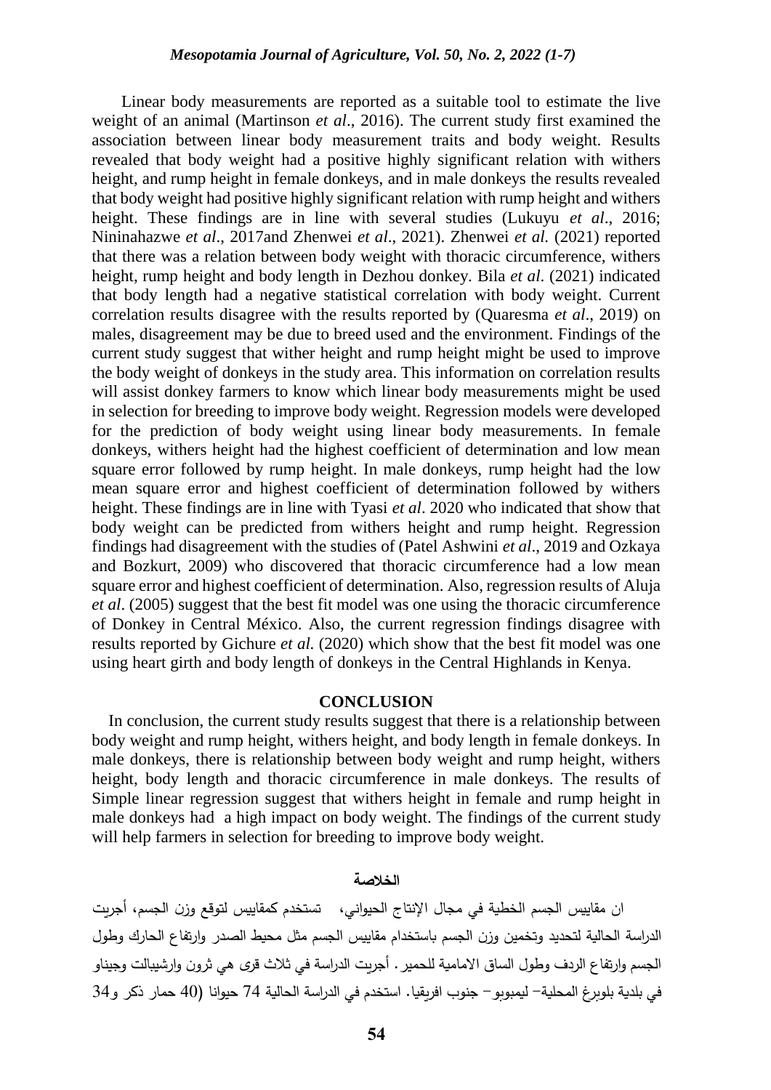Linear body measurements are reported as a suitable tool to estimate the live weight of an animal (Martinson *et al*., 2016). The current study first examined the association between linear body measurement traits and body weight. Results revealed that body weight had a positive highly significant relation with withers height, and rump height in female donkeys, and in male donkeys the results revealed that body weight had positive highly significant relation with rump height and withers height. These findings are in line with several studies (Lukuyu *et al*., 2016; Nininahazwe *et al*., 2017and Zhenwei *et al*., 2021). Zhenwei *et al.* (2021) reported that there was a relation between body weight with thoracic circumference, withers height, rump height and body length in Dezhou donkey. Bila *et al*. (2021) indicated that body length had a negative statistical correlation with body weight. Current correlation results disagree with the results reported by (Quaresma *et al*., 2019) on males, disagreement may be due to breed used and the environment. Findings of the current study suggest that wither height and rump height might be used to improve the body weight of donkeys in the study area. This information on correlation results will assist donkey farmers to know which linear body measurements might be used in selection for breeding to improve body weight. Regression models were developed for the prediction of body weight using linear body measurements. In female donkeys, withers height had the highest coefficient of determination and low mean square error followed by rump height. In male donkeys, rump height had the low mean square error and highest coefficient of determination followed by withers height. These findings are in line with Tyasi *et al*. 2020 who indicated that show that body weight can be predicted from withers height and rump height. Regression findings had disagreement with the studies of (Patel Ashwini *et al*., 2019 and Ozkaya and Bozkurt, 2009) who discovered that thoracic circumference had a low mean square error and highest coefficient of determination. Also, regression results of Aluja *et al*. (2005) suggest that the best fit model was one using the thoracic circumference of Donkey in Central México. Also, the current regression findings disagree with results reported by Gichure *et al.* (2020) which show that the best fit model was one using heart girth and body length of donkeys in the Central Highlands in Kenya.

#### **CONCLUSION**

 In conclusion, the current study results suggest that there is a relationship between body weight and rump height, withers height, and body length in female donkeys. In male donkeys, there is relationship between body weight and rump height, withers height, body length and thoracic circumference in male donkeys. The results of Simple linear regression suggest that withers height in female and rump height in male donkeys had a high impact on body weight. The findings of the current study will help farmers in selection for breeding to improve body weight.

#### **الخالصة**

 ان مقاييس الجسم الخطية في مجال اإلنتاج الحيواني، تستخدم كمقاييس لتوقع وزن الجسم، أجريت الدراسة الحالية لتحديد وتخمين وزن الجسم باستخدام مقاييس الجسم مثل محيط الصدر وارتفاع الحارك وطول الجسم وارتفاع الردف وطول الساق االمامية للحمير. أجريت الدراسة في ثالث قرى هي ثرون وارشيبالت وجيناو في بلدية بلوبرغ المحلية- ليمبوبو- جنوب افريقيا. استخدم في الدراسة الحالية 74 حيوانا )40 حمار ذكر و34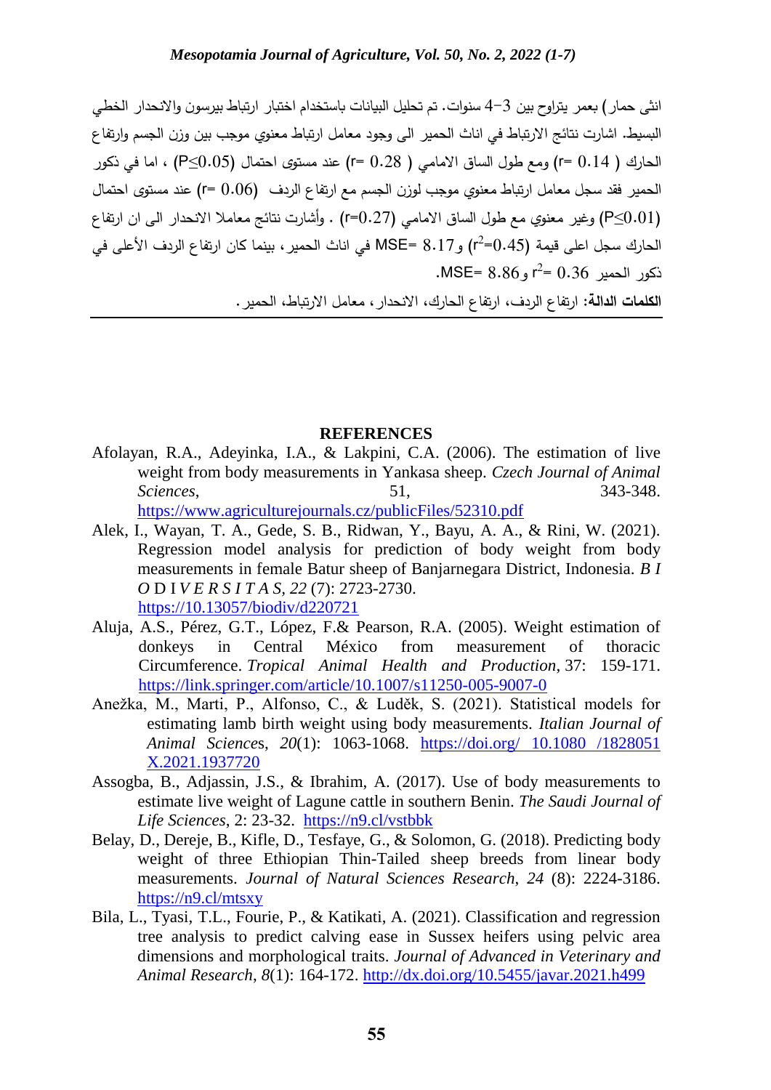انثى حمار( بعمر يتراوح بين 4-3 سنوات. تم تحليل البيانات باستخدام اختبار ارتباط بيرسون واالنحدار الخطي البسيط. اشارت نتائج االرتباط في اناث الحمير الى وجود معامل ارتباط معنوي موجب بين وزن الجسم وارتفاع الحارك ) 0.14 =r )ومع طول الساق االمامي ) 0.28 =r )عند مستوى احتمال (0.05≥P (، اما في ذكور الحمير فقد سجل معامل ارتباط معنوي موجب لوزن الجسم مع ارتفاع الردف (0.06 =r (عند مستوى احتمال (0.01≥P (وغير معنوي مع طول الساق االمامي (0.27=r (. وأشارت نتائج معامال االنحدار الى ان ارتفاع الحارك سجل اعلى قيمة (p2=0.45) وMSE= 8.17 في اناث الحمير ، بينما كان ارتفاع الردف الأعلى في 2 ذكور الحمير 0.36 = .MSE= 8.86و r

**الكلمات الدالة:** ارتفاع الردف، ارتفاع الحارك، االنحدار، معامل االرتباط، الحمير.

### **REFERENCES**

- Afolayan, R.A., Adeyinka, I.A., & Lakpini, C.A. (2006). The estimation of live weight from body measurements in Yankasa sheep. *Czech Journal of Animal Sciences*, 51, 51, 343-348. <https://www.agriculturejournals.cz/publicFiles/52310.pdf>
- Alek, I., Wayan, T. A., Gede, S. B., Ridwan, Y., Bayu, A. A., & Rini, W. (2021). Regression model analysis for prediction of body weight from body measurements in female Batur sheep of Banjarnegara District, Indonesia. *B I O* D I *V E R S I T A S, 22* (7): 2723-2730. [https://10.13057/biodiv/d220721](https://10.0.51.1/biodiv/d220721)
- Aluja, A.S., Pérez, G.T., López, F.& [Pearson,](https://link.springer.com/article/10.1007/s11250-005-9007-0#auth-R__A_-Pearson) R.A. (2005). Weight estimation of donkeys in Central México from measurement of thoracic Circumference. *Tropical Animal Health and Production*, 37: 159-171. <https://link.springer.com/article/10.1007/s11250-005-9007-0>
- Anežka, M., Marti, P., Alfonso, C., & Luděk, S. (2021). Statistical models for estimating lamb birth weight using body measurements. *Italian Journal of Animal Science*s, *20*(1): 1063-1068. [https://doi.org/ 10.1080 /1828051](https://doi.org/%2010.1080%20/1828051%20X.2021.1937720)  [X.2021.1937720](https://doi.org/%2010.1080%20/1828051%20X.2021.1937720)
- Assogba, B., Adjassin, J.S., & Ibrahim, A. (2017). Use of body measurements to estimate live weight of Lagune cattle in southern Benin. *The Saudi Journal of Life Sciences*, 2: 23-32. <https://n9.cl/vstbbk>
- Belay, D., Dereje, B., Kifle, D., Tesfaye, G., & Solomon, G. (2018). Predicting body weight of three Ethiopian Thin-Tailed sheep breeds from linear body measurements. *Journal of Natural Sciences Research*, *24* (8): 2224-3186. <https://n9.cl/mtsxy>
- Bila, L., Tyasi, T.L., Fourie, P., & Katikati, A. (2021). Classification and regression tree analysis to predict calving ease in Sussex heifers using pelvic area dimensions and morphological traits. *Journal of Advanced in Veterinary and Animal Research*, *8*(1): 164-172. <http://dx.doi.org/10.5455/javar.2021.h499>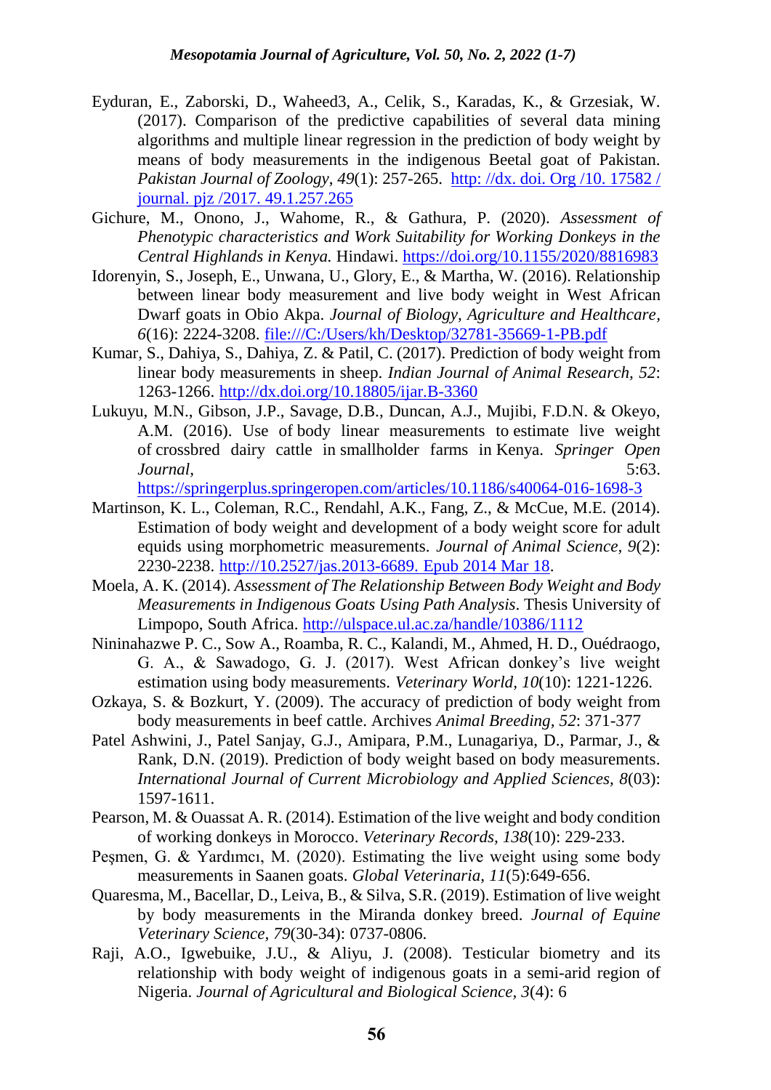- Eyduran, E., Zaborski, D., Waheed3, A., Celik, S., Karadas, K., & Grzesiak, W. (2017). Comparison of the predictive capabilities of several data mining algorithms and multiple linear regression in the prediction of body weight by means of body measurements in the indigenous Beetal goat of Pakistan. *Pakistan Journal of Zoology*, *49*(1): 257-265. http: //dx. doi. Org /10. [17582](http://dx.doi.org/10.17582/%20journal.pjz%20/2017.%2049.1.257.265) / journal. [pjz /2017. 49.1.257.265](http://dx.doi.org/10.17582/%20journal.pjz%20/2017.%2049.1.257.265)
- Gichure, M., Onono, J., Wahome, R., & Gathura, P. (2020). *Assessment of Phenotypic characteristics and Work Suitability for Working Donkeys in the Central Highlands in Kenya.* Hindawi.<https://doi.org/10.1155/2020/8816983>
- Idorenyin, S., Joseph, E., Unwana, U., Glory, E., & Martha, W. (2016). Relationship between linear body measurement and live body weight in West African Dwarf goats in Obio Akpa. *Journal of Biology, Agriculture and Healthcare, 6*(16): 2224-3208. <file:///C:/Users/kh/Desktop/32781-35669-1-PB.pdf>
- Kumar, S., Dahiya, S., Dahiya, Z. & Patil, C. (2017). Prediction of body weight from linear body measurements in sheep. *Indian Journal of Animal Research, 52*: 1263-1266. <http://dx.doi.org/10.18805/ijar.B-3360>
- Lukuyu, M.N., Gibson, J.P., Savage, D.B., Duncan, A.J., Mujibi, F.D.N. & Okeyo, A.M. (2016). Use of body linear measurements to estimate live weight of crossbred dairy cattle in smallholder farms in Kenya. *Springer Open Journal,* 5:63.

<https://springerplus.springeropen.com/articles/10.1186/s40064-016-1698-3>

- Martinson, K. L., Coleman, R.C., Rendahl, A.K., Fang, Z., & McCue, M.E. (2014). Estimation of body weight and development of a body weight score for adult equids using morphometric measurements. *Journal of Animal Science, 9*(2): 2230-2238. [http://10.2527/jas.2013-6689.](http://10.0.9.223/jas.2013-6689. Epub%202014%20Mar%2018) Epub 2014 Mar 18.
- Moela, A. K. (2014). *Assessment of The Relationship Between Body Weight and Body Measurements in Indigenous Goats Using Path Analysis*. Thesis University of Limpopo, South Africa. <http://ulspace.ul.ac.za/handle/10386/1112>
- Nininahazwe P. C., Sow A., Roamba, R. C., Kalandi, M., Ahmed, H. D., Ouédraogo, G. A., & Sawadogo, G. J. (2017). West African donkey's live weight estimation using body measurements. *Veterinary World, 10*(10): 1221-1226.
- Ozkaya, S. & Bozkurt, Y. (2009). The accuracy of prediction of body weight from body measurements in beef cattle. Archives *Animal Breeding, 52*: 371-377
- Patel Ashwini, J., Patel Sanjay, G.J., Amipara, P.M., Lunagariya, D., Parmar, J., & Rank, D.N. (2019). Prediction of body weight based on body measurements. *International Journal of Current Microbiology and Applied Sciences, 8*(03): 1597-1611.
- Pearson, M. & Ouassat A. R. (2014). Estimation of the live weight and body condition of working donkeys in Morocco. *Veterinary Records, 138*(10): 229-233.
- Peşmen, G. & Yardımcı, M. (2020). Estimating the live weight using some body measurements in Saanen goats. *Global Veterinaria, 11*(5):649-656.
- Quaresma, M., Bacellar, D., Leiva, B., & Silva, S.R. (2019). Estimation of live weight by body measurements in the Miranda donkey breed. *Journal of Equine Veterinary Science, 79*(30-34): 0737-0806.
- Raji, A.O., Igwebuike, J.U., & Aliyu, J. (2008). Testicular biometry and its relationship with body weight of indigenous goats in a semi-arid region of Nigeria. *Journal of Agricultural and Biological Science, 3*(4): 6